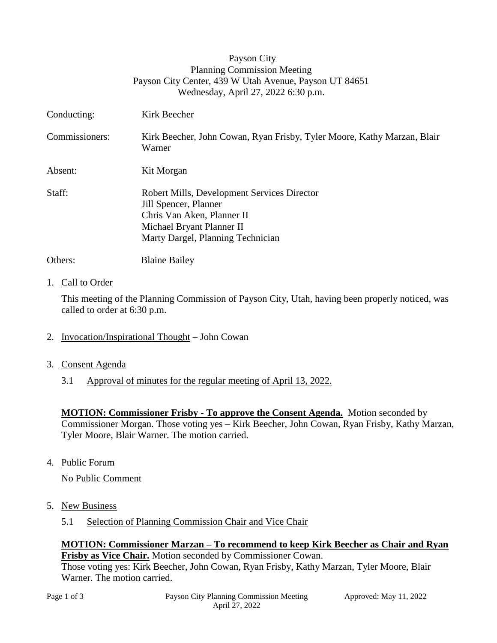| Payson City                                            |
|--------------------------------------------------------|
| <b>Planning Commission Meeting</b>                     |
| Payson City Center, 439 W Utah Avenue, Payson UT 84651 |
| Wednesday, April 27, 2022 6:30 p.m.                    |

| Conducting:    | Kirk Beecher                                                                                                                                                         |
|----------------|----------------------------------------------------------------------------------------------------------------------------------------------------------------------|
| Commissioners: | Kirk Beecher, John Cowan, Ryan Frisby, Tyler Moore, Kathy Marzan, Blair<br>Warner                                                                                    |
| Absent:        | Kit Morgan                                                                                                                                                           |
| Staff:         | Robert Mills, Development Services Director<br>Jill Spencer, Planner<br>Chris Van Aken, Planner II<br>Michael Bryant Planner II<br>Marty Dargel, Planning Technician |
| Others:        | <b>Blaine Bailey</b>                                                                                                                                                 |

### 1. Call to Order

This meeting of the Planning Commission of Payson City, Utah, having been properly noticed, was called to order at 6:30 p.m.

- 2. Invocation/Inspirational Thought John Cowan
- 3. Consent Agenda
	- 3.1 Approval of minutes for the regular meeting of April 13, 2022.

**MOTION: Commissioner Frisby - To approve the Consent Agenda.** Motion seconded by Commissioner Morgan. Those voting yes – Kirk Beecher, John Cowan, Ryan Frisby, Kathy Marzan, Tyler Moore, Blair Warner. The motion carried.

4. Public Forum

No Public Comment

- 5. New Business
	- 5.1 Selection of Planning Commission Chair and Vice Chair

#### **MOTION: Commissioner Marzan – To recommend to keep Kirk Beecher as Chair and Ryan Frisby as Vice Chair.** Motion seconded by Commissioner Cowan.

Those voting yes: Kirk Beecher, John Cowan, Ryan Frisby, Kathy Marzan, Tyler Moore, Blair Warner. The motion carried.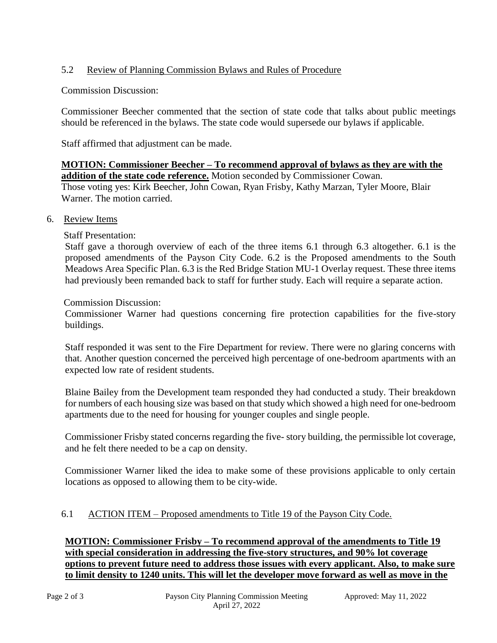# 5.2 Review of Planning Commission Bylaws and Rules of Procedure

Commission Discussion:

Commissioner Beecher commented that the section of state code that talks about public meetings should be referenced in the bylaws. The state code would supersede our bylaws if applicable.

Staff affirmed that adjustment can be made.

## **MOTION: Commissioner Beecher – To recommend approval of bylaws as they are with the addition of the state code reference.** Motion seconded by Commissioner Cowan.

Those voting yes: Kirk Beecher, John Cowan, Ryan Frisby, Kathy Marzan, Tyler Moore, Blair Warner. The motion carried.

6. Review Items

Staff Presentation:

Staff gave a thorough overview of each of the three items 6.1 through 6.3 altogether. 6.1 is the proposed amendments of the Payson City Code. 6.2 is the Proposed amendments to the South Meadows Area Specific Plan. 6.3 is the Red Bridge Station MU-1 Overlay request. These three items had previously been remanded back to staff for further study. Each will require a separate action.

Commission Discussion:

Commissioner Warner had questions concerning fire protection capabilities for the five-story buildings.

Staff responded it was sent to the Fire Department for review. There were no glaring concerns with that. Another question concerned the perceived high percentage of one-bedroom apartments with an expected low rate of resident students.

Blaine Bailey from the Development team responded they had conducted a study. Their breakdown for numbers of each housing size was based on that study which showed a high need for one-bedroom apartments due to the need for housing for younger couples and single people.

Commissioner Frisby stated concerns regarding the five- story building, the permissible lot coverage, and he felt there needed to be a cap on density.

Commissioner Warner liked the idea to make some of these provisions applicable to only certain locations as opposed to allowing them to be city-wide.

## 6.1 ACTION ITEM – Proposed amendments to Title 19 of the Payson City Code.

**MOTION: Commissioner Frisby – To recommend approval of the amendments to Title 19 with special consideration in addressing the five-story structures, and 90% lot coverage options to prevent future need to address those issues with every applicant. Also, to make sure to limit density to 1240 units. This will let the developer move forward as well as move in the**